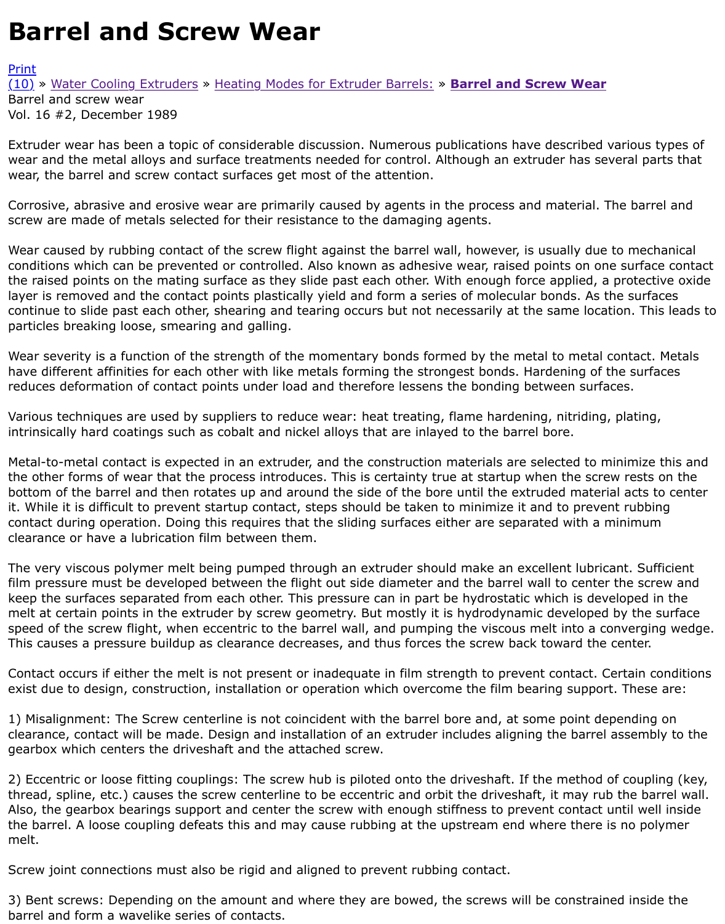Extruder wear has been a topic of considerable discussion. Numerous publications have described v wear and the metal alloys and surface treatments needed for control. Although an extruder has sev wear, the barrel and screw contact surfaces get most of the attention.

[Corr](http://extrusionwiki.com/wiki/CC-V16-2-C.ashx#)[o](http://extrusionwiki.com/wiki/Print.aspx?Page=CC-V16-2-C)s[ive, abrasive and erosive](http://extrusionwiki.com/wiki/CC-V16-2-A.ashx) w[ear are primarily caused by agents in](http://extrusionwiki.com/wiki/CC-V16-2-B.ashx) t[he process and material. T](http://extrusionwiki.com/wiki/CC-V16-2-C.ashx)h screw are made of metals selected for their resistance to the damaging agents.

Wear caused by rubbing contact of the screw flight against the barrel wall, however, is usually due to conditions which can be prevented or controlled. Also known as adhesive wear, raised points on one the raised points on the mating surface as they slide past each other. With enough force applied, a layer is removed and the contact points plastically yield and form a series of molecular bonds. As th continue to slide past each other, shearing and tearing occurs but not necessarily at the same locati particles breaking loose, smearing and galling.

Wear severity is a function of the strength of the momentary bonds formed by the metal to metal co have different affinities for each other with like metals forming the strongest bonds. Hardening of the reduces deformation of contact points under load and therefore lessens the bonding between surfac

Various techniques are used by suppliers to reduce wear: heat treating, flame hardening, nitriding, intrinsically hard coatings such as cobalt and nickel alloys that are inlayed to the barrel bore.

Metal-to-metal contact is expected in an extruder, and the construction materials are selected to mi the other forms of wear that the process introduces. This is certainty true at startup when the screv bottom of the barrel and then rotates up and around the side of the bore until the extruded materia it. While it is difficult to prevent startup contact, steps should be taken to minimize it and to preven contact during operation. Doing this requires that the sliding surfaces either are separated with a m clearance or have a lubrication film between them.

The very viscous polymer melt being pumped through an extruder should make an excellent lubrica film pressure must be developed between the flight out side diameter and the barrel wall to center t keep the surfaces separated from each other. This pressure can in part be hydrostatic which is deve melt at certain points in the extruder by screw geometry. But mostly it is hydrodynamic developed l speed of the screw flight, when eccentric to the barrel wall, and pumping the viscous melt into a con This causes a pressure buildup as clearance decreases, and thus forces the screw back toward the c

Contact occurs if either the melt is not present or inadequate in film strength to prevent contact. Ce exist due to design, construction, installation or operation which overcome the film bearing support.

1) Misalignment: The Screw centerline is not coincident with the barrel bore and, at some point dep clearance, contact will be made. Design and installation of an extruder includes aligning the barrel as gearbox which centers the driveshaft and the attached screw.

2) Eccentric or loose fitting couplings: The screw hub is piloted onto the driveshaft. If the method of thread, spline, etc.) causes the screw centerline to be eccentric and orbit the driveshaft, it may rub Also, the gearbox bearings support and center the screw with enough stiffness to prevent contact u the barrel. A loose coupling defeats this and may cause rubbing at the upstream end where there is melt.

Screw joint connections must also be rigid and aligned to prevent rubbing contact.

3) Bent screws: Depending on the amount and where they are bowed, the screws will be constraine barrel and form a wavelike series of contacts.